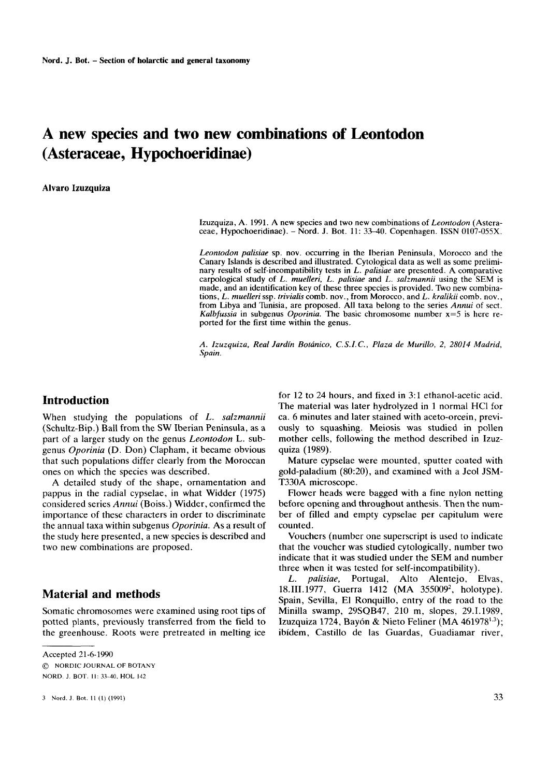# **A new species and two new combinations of Leontodon (Asteraceae, Hypochoeridinae)**

**Alvaro Izuzquiza** 

Izuzquiza, A. 1991. A new species and two new combinations of *Leontodon* (Asteraceae, Hypochoeridinae). - Nord. J. Bot. 11: 33-40. Copenhagen. ISSN 0107-055X.

*Leontodon pahiae* sp. nov. occurring in the Iberian Peninsula, Morocco and the Canary Islands is described and illustrated. Cytological data as well as some preliminary results of self-incompatibility tests in *L. palisiae* are presented. A comparative carpological study of *L. muelleri, L. palisiae* and L. *salzmannii* using the SEM is made, and an identification key of these three species is provided. Two new combinations, *L. muelleri* ssp. *trivialis* comb. nov., from Morocco, and *L. kralikii* comb. nov., from Libya and Tunisia, are proposed. All taxa belong to the series *Annui* of sect. *Kalbfussia* in subgenus *Oporinia*. The basic chromosome number  $x=5$  is here reported for the first time within the genus.

*A. Izuzquiza, Real Jardin Botanico, C.S.I.C., Plaza de Murillo, 2, 28014 Madrid, Spain.* 

# **Introduction**

When studying the populations of *L. salzmannii* (Schultz-Bip.) Ball from the **SW** Iberian Peninsula, as a part of a larger study on the genus *Leontodon* **L.** subgenus *Oporinia* (D. Don) Clapham, it became obvious that such populations differ clearly from the Moroccan ones on which the species was described.

A detailed study of the shape, ornamentation and pappus in the radial cypselae, in what Widder (1975) considered series *Annui* (Boiss.) Widder, confirmed the importance of these characters in order to discriminate the annual taxa within subgenus *Oporinia.* As a result of the study here presented, a new species **is** described and two new combinations are proposed.

# **Material and methods**

Somatic chromosomes were examined using root tips of potted plants, previously transferred from the field to the greenhouse. Roots were pretreated in melting ice

*3* **Nord. J. Bot. I1 (I) (1991)** *33* 

for 12 to 24 hours, and fixed in 3:l ethanol-acetic acid. The material was later hydrolyzed in 1 normal HC1 for ca. 6 minutes and later stained with aceto-orcein, previously to squashing. Meiosis was studied in pollen mother cells, following the method described in Izuzquiza (1989).

Mature cypselae were mounted, sputter coated with gold-paladium (80:20), and examined with a Jeol JSM-T330A microscope.

Flower heads were bagged with a fine nylon netting before opening and throughout anthesis. Then the number of filled and empty cypselae per capitulum were counted.

Vouchers (number one superscript is used to indicate that the voucher was studied cytologically, number two indicate that it was studied under the SEM and number three when it was tested for self-incompatibility).

*L. palisiae,* Portugal, Alto Alentejo, Elvas, 18.III.1977, Guerra 1412 (MA 355009<sup>2</sup>, holotype). Spain, Sevilla, El Ronquillo, entry of the road to the Minilla swamp, 29SQB47, 210 m, slopes, 29.1.1989, Izuzquiza 1724, Bayón & Nieto Feliner (MA  $461978^{1.3}$ ); ibidem, Castillo de las Guardas, Guadiamar river,

Accepted 21-6-1990 *0* NORDIC JOURNAL OF BOTANY NORD. J. BOT. **II: 33-40, HOL 142**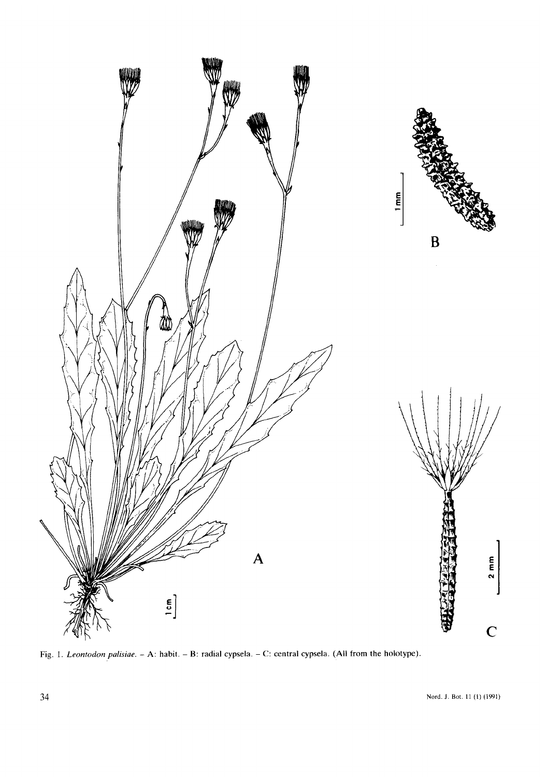

**Fig.** 1. *Leonrodon palisiae.* - **A: habit.** - **B: radial cypsela.** - **C: central cypsela. (All** from **the holotype).**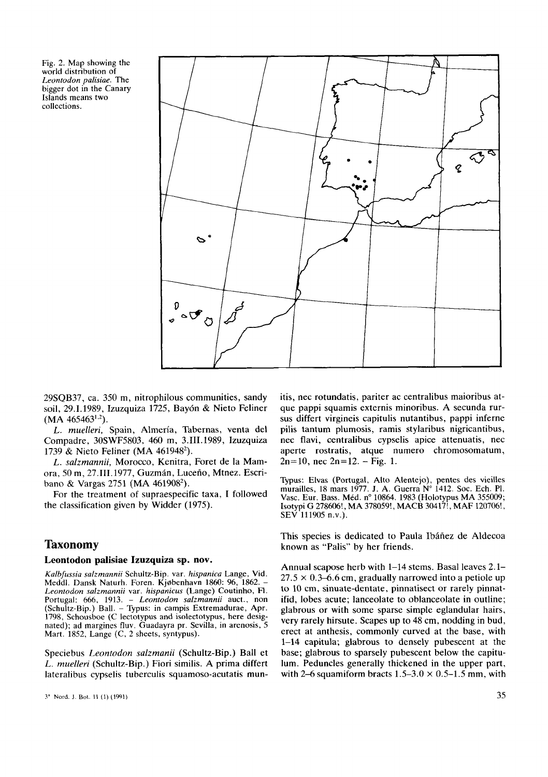Fig. 2. Map showing the world distribution of *Leontodon palisiae.* The bigger dot in the Canary Islands means two collections.



29SQB37, ca. 350 m, nitrophilous communities, sandy soil, 29.1.1989, Izuzquiza 1725, Baydn & Nieto Feliner  $(MA 465463^{1,2}).$ 

L. muelleri, Spain, Almeria, Tabernas, venta del Cornpadre, 30SWF5803. 460 m, 3.111.1989, Izuzquiza 1739 & Nieto Feliner (MA 461948').

L. *salzmannii,* Morocco, Kenitra, Foret de la Mamora, 50 m, 27.III.1977, Guzmán, Luceño, Mtnez. Escriban0 & Vargas 2751 (MA 461908').

For the treatment of supraespecific taxa, I followed the classification given by Widder (1975).

# **Taxonomy**

#### **Leontodon palisiae Izuzquiza sp. nov.**

*Kalbfussia sakmannii* Schultz-Bip. var. *hispanica* Lange, Vid. Meddl. Dansk Naturh. Foren. Kjobenhavn 1860: 96, 1862. - Leontodon *sakmannii* var. *hispanicus* (Lange) Coutinho, **FI.**  Portugal: 666, 1913. - *Leontodon salzmannii* auct., non (Schultz-Bip.) Ball. - Typus: in campis Extremadurae, Apr. 1798, Schousboe (C lectotypus and isolectotypus, here designated); ad margines fluv. Guadayra pr. Sevilla, in arenosis, 5 Mart. 1852, Lange (C, 2 sheets, syntypus).

Speciebus Leontodon *salzmanii* (Schultz-Bip.) Ball et L. *rnuelleri* (Schultz-Bip.) Fiori similis. A prima differt lateralibus cypselis tuberculis squamoso-acutatis munitis, nec rotundatis, pariter ac centralibus maioribus atque pappi squamis externis minoribus. A secunda **rur**sus differt virgineis capitulis nutantibus, pappi inferne pilis tantum plumosis, ramis stylaribus nigricantibus, nec flavi, centralibus cypselis apice attenuatis, nec aperte rostratis, atque nurnero chromosomatum,  $2n=10$ , nec  $2n=12$ . – Fig. 1.

Typus: Elvas (Portugal, Alto Alentejo), pentes des vieilles murailles, 18 mars 1977. J. **A.** Guerra **No** 1412. **SOC.** Ech. PI. Vasc. Eur. Bass. Méd. nº 10864. 1983 (Holotypus MA 355009; Isotypi G 278606!, MA **378059!,** MACB 30417!, MAF 120706!, SEV 111905 n.v.).

This species is dedicated to Paula Ibáñez de Aldecoa known as "Palis" by her friends.

Annual scapose herb with 1-14 stems. Basal leaves 2.1-  $27.5 \times 0.3$ –6.6 cm, gradually narrowed into a petiole up to 10 cm, sinuate-dentate, pinnatisect or rarely pinnatifid, lobes acute; lanceolate to oblanceolate in outline; glabrous or with some sparse simple eglandular hairs, very rarely hirsute. Scapes up to 48 cm, nodding in bud, erect at anthesis, commonly curved at the base, with 1-14 eapitula; glabrous to densely pubescent at the base; glabrous to sparsely pubescent below the capitulum. Peduncles generally thickened in the upper part, with 2–6 squamiform bracts  $1.5-3.0 \times 0.5-1.5$  mm, with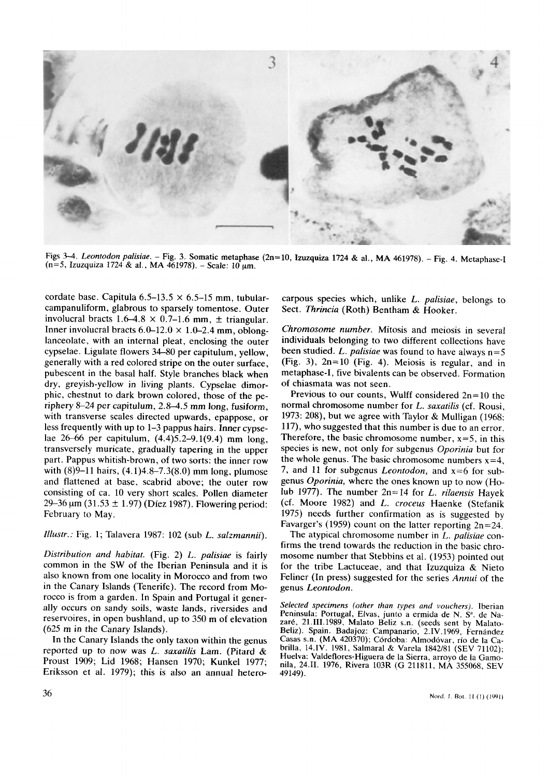

**Figs** *3-4. Leontodon palisiae.* - **Fig.** *3.* **Somatic metaphase (2n=10, Izuzquiza 1724** & **al., MA 461978).** - **Fig. 4. Metaphase-I (n=5, Izuzquiza 1724** & **al., MA 461978).** - **Scale: 10 pm.** 

cordate base. Capitula  $6.5-13.5 \times 6.5-15$  mm, tubularcampanuliform, glabrous to sparsely tomentose. Outer involucral bracts  $1.6-4.8 \times 0.7-1.6$  mm,  $\pm$  triangular. Inner involucral bracts  $6.0-12.0 \times 1.0-2.4$  mm, oblonglanceolate, with an internal pleat, enclosing the outer cypselae. Ligulate flowers 34-80 per capitulum, yellow, generally with a red colored stripe on the outer surface, pubescent in the basal half. Style branches black when dry, greyish-yellow in living plants. Cypselae dimorphic, chestnut to dark brown colored, those of the periphery 8-24 per capitulum,  $2.8-4.5$  mm long, fusiform, with transverse scales directed upwards, epappose, or less frequently with up to 1-3 pappus hairs. Inner cypselae 26-66 per capitulum, (4.4)5.2-9.1(9.4) mm long, transversely muricate, gradually tapering in the upper part. Pappus whitish-brown, of two sorts: the inner row with (8)9-11 hairs, (4.1)4.8-7.3(8.0) mm long, plumose and flattened at base, scabrid above; the outer row consisting of ca. 10 very short scales. Pollen diameter 29–36  $\mu$ m (31.53 ± 1.97) (Díez 1987). Flowering period: February to May.

*Zllustr.:* Fig. 1; Talavera 1987: 102 (sub *L. salzmannii).* 

*Distribution and habitat.* (Fig. 2) *L. palisiae* is fairly common in the **SW** of the Iberian Peninsula and it is also known from **one** locality in Morocco and from two in the Canary Islands (Tenerife). The record from Morocco is from a garden. **In** Spain and Portugal it generally occurs on sandy soils, waste lands, riversides and reservoires, in open bushland, up to 350 m of elevation (625 m in the Canary Islands).

**In** the Canary Islands the **only** taxon within the genus reported up to now was *L. saxatilis* Lam. (Pitard & Proust 1909; Lid 1968; Hansen 1970; Kunkel 1977; Eriksson et al. 1979); this **is** also an annual heterocarpous species which, unlike *L. palisiae,* belongs to Sect. *Thrincia* (Roth) Bentham & Hooker.

*Chromosome number.* Mitosis and meiosis in several individuals belonging to two different collections have been studied. *L. palisiae* was found to have always n=5 (Fig. 3), 2n=10 (Fig. **4).** Meiosis **is** regular, and in metaphase-I, five bivalents can be observed. Formation of chiasmata was not seen.

Previous to our counts, Wulff considered  $2n=10$  the normal chromosome number for *L. saxatilis* (cf. Rousi, 1973: 208), but we agree with Taylor & Mulligan (1968: 117), who suggested that this number is due to an error. Therefore, the basic chromosome number,  $x=5$ , in this species is new, not only for subgenus *Oporinia* but for the whole genus. The basic chromosome numbers  $x=4$ , 7, and 11 for subgenus *Leontodon,* and x=6 for subgenus *Oporinia,* where the ones known up to now (Holub 1977). The number 2n=14 for *L. rifuensis* Hayek (cf. Moore 1982) and *L. croceus* Haenke (Stefanik 1975) needs further confirmation as is suggested by Favarger's (1959) count on the latter reporting  $2n=24$ .

The atypical chromosome number in *L. palisiae* confirms the trend towards the reduction in the basic chromosome number that Stebbins et al. (1953) pointed out for the tribe Lactuceae, and that Izuzquiza & Nieto Feliner **(In** press) suggested for the series *Annui* of the genus *Leontodon.* 

*Selected specimens (other than types and vouchers).* **Iberian**  Peninsula: Portugal, Elvas, junto a ermida de N. S<sup>a</sup>. de Na**zare, 21.111.1989, Malato Beliz s.n. (seeds sent** by **Malato-Beliz). Spain. Badajoz: Campanario, 2.1V.1969, Fernandez Casas** s.n. **(MA 420370); Cordoba: Almodovar,** rio **de la Cabrilla, 14.IV. 1981, Sahara1** & **Varela 1842/81 (SEV 71102); Huelva: Valdeflores-Higuera de la Sierra, arroyo de la Gamonila, 24.11. 1976, Rivera 103R (G 211811, MA 355068, SEV 49149).**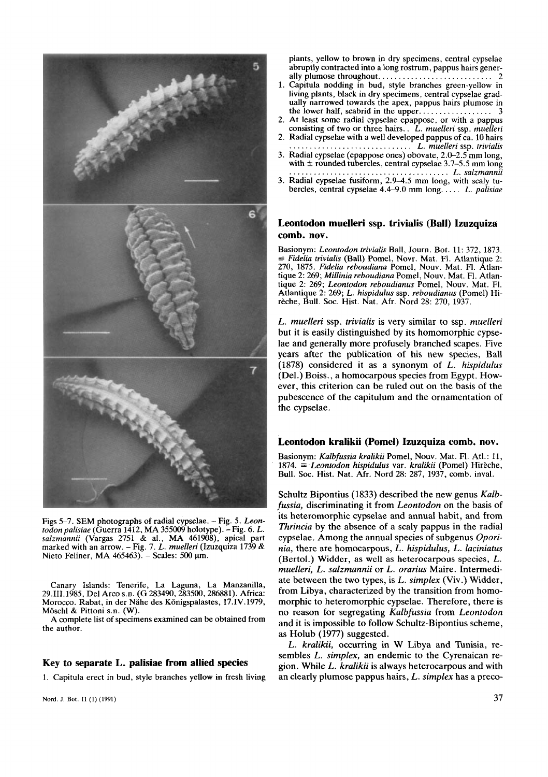

Figs 5-7. SEM photographs of radial cypselae. - Fig. 5. *Leontodon palisiae* (Guerra 1412, MA 355009 holotype). - Fig. 6. *L. salzmannii* (Vargas 2751 & al., MA 461908), apical part marked with an arrow. - Fig. 7. *L. muelleri* (Izuzquiza 1739 & Nieto Feliner, MA  $465463$ ). - Scales: 500  $\mu$ m.

Canary Islands: Tenerife, La Laguna, La Manzanilla, 29,111,1985, Del Arco **s.n.** (G 283490,283500,286881). Africa: Morocco. Rabat, in der Nahe des Konigspalastes, **17.IV.** 1979, Moschl & Pittoni **s.n.** (W).

A complete list of specimens examined can be obtained from the author.

#### **Key to separate L. palisiae from allied species**

1. Capitula erect in bud, style branches yellow in fresh living

plants, yellow to brown in dry specimens, central cypselae abruptly contracted into a long rostrum, pappus hairs generally plumose throughout.. .......................... 2

- 1. Capitula nodding in bud, style branches green-yellow in living plants, black in dry specimens, central cypselae gradually narrowed towards the apex, pappus hairs plumose in . . . . . 3 the lower half, scabrid in the upper...........
- 2. At least some radial cypselae epappose, or with a pappus consisting of two or three hairs.. *L. muelleri* ssp. *muelleri*
- 2. Radial cypselae with a well developed pappus of ca. 10 hairs .............................. *L. muelleri* ssp. *trivialis*
- 3. Radial cypselae (epappose ones) obovate, 2.0-2.5 mm long, with **f** rounded tubercles, central cypselae 3.7-5.5 mm long ....................................... *L. salzmannii*
- 3. Radial cypselae fusiform, 2.9-4.5 mm long, with scaly tubercles, central cypselae 4.4-9.0 mm long.. ... *L. palisiae*

#### **Leontodon muelleri ssp. trivialis (Ball) Izuzquiza comb. nov.**

Basionym: *Leontodon trivialis* Ball, Journ. Bot. 11: 372, 1873. = *Fidelia trivialis* (Ball) Pomel, Novr. Mat. FI. Atlantique 2: 270, 1875. *Fidelia reboudiana* Pomel, Nouv. Mat. **F1.** Atlantique 2: 269; *Millinia reboudiana* Pomel, Nouv. Mat. **FI.** Atlantique 2: 269; *Leontodon reboudianus* Pomel, Nouv. Mat. FI. Atlantique 2: 269; *L. hispidulus* ssp. *reboudianus* (Pomel) Hirèche, Bull. Soc. Hist. Nat. Afr. Nord 28: 270, 1937.

*L. muelleri* ssp. *trivialis* is very similar to ssp. *muelleri*  but it is easily distinguished by its homomorphic cypselae and generally more profusely branched scapes. Five years after the publication of his new species, Ball (1878) considered it as a synonym of L. *hispidulus*  (Del.) Boiss., a homocarpous species from Egypt. However, this criterion can be ruled out on the basis of the pubescence of the capitulum and the ornamentation of the cypselae.

#### **Leontodon kralikii (Pomel) Izuzquiza comb. nov.**

Basionym: *Kalbfussia kralikii* Pomel, Nouv. Mat. FI. Atl.: 11, 1874. = *Leontodon hisppidulus* var. *kralikii* (Pomel) Hireche, Bull. SOC. Hist. Nat. Afr. Nord 28: 287, 1937, comb. inval.

Schultz Bipontius (1833) described the new genus *Kalbfussia,* discriminating it from *Leontodon* on the basis of its heteromorphic cypselae and annual habit, and from *Thrincia* by the absence of a scaly pappus in the radial cypselae. Among the annual species of subgenus *Oporinia,* there are homocarpous, *L. hispidulus,* L. *laciniatus*  (Bertol.) Widder, as well as heterocarpous species, L. *muelleri,* L. *salzmannii* or *L. orarius* Maire. Intermediate between the two types, is L. *simplex* (Viv.) Widder, from Libya, characterized by the transition from homomorphic to heteromorphic cypselae. Therefore, there is no reason for segregating *Kalbfussia* from Leontodon and it is impossible to follow Schultz-Bipontius scheme, as Holub (1977) suggested.

L. *kralikii,* occurring in W Libya and Tunisia, resembles L. *simplex,* an endemic to the Cyrenaican region. While L. *kralikii* is always heterocarpous and with an clearly plumose pappus hairs, L. *simplex* has a preco-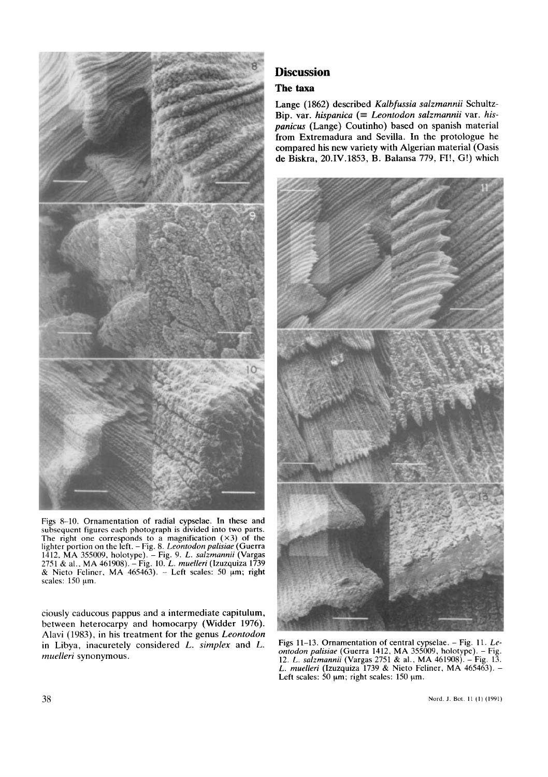

Figs 8-10, Ornamentation of radial cypselae. **In** these and subsequent figures each photograph is divided into two parts. The right one corresponds to a magnification  $(\times 3)$  of the lighter portion on the left. - Fig. 8. *Leontodon palisiae* (Guerra 1412, **MA** 355009. holotype). - Fig. 9. *L. salzmannii* (Vargas 2751 & al.. **MA** 461908). -Fig. **10.** *L. muelleri* **(Izuzquiza** 1739 & Nieto Feliner, **MA** 465463). - Left scales: *SO* pm; right scales: 150 µm.

ciously caducous pappus and a intermediate capitulum, between heterocarpy and homocarpy (Widder 1976). Alavi (1983), in his treatment for the genus *Leontodon*  in Libya, inacuretely considered L. *simplex* and *L. muelleri* synonymous.

# **Discussion**

# **The taxa**

Lange (1862) described *Kalbfussia salzmannii* Schultz-Bip. var. *hispanica* (= *Leontodon salzmannii* var. *hispanicus* (Lange) Coutinho) based on spanish material from Extremadura and Sevilla. In the protologue he compared his new variety with Algerian material (Oasis de Biskra, 20.1V.1853, B. Balansa 779, FI!, G!) which



Figs 11-13. Ornamentation of central cypselae. - Fig. 11. *Leonlodon palisiae* (Guerra 1412, MA 355009, holotype). - Fig. 12. *L. salzmannii* (Vargas 2751 & al., **MA** 461908). - Fig. 13. *L. muelleri* **(Izuzquiza** 1739 & Nieto Feliner, **MA** 465463). - Left scales:  $30 \mu m$ ; right scales:  $150 \mu m$ .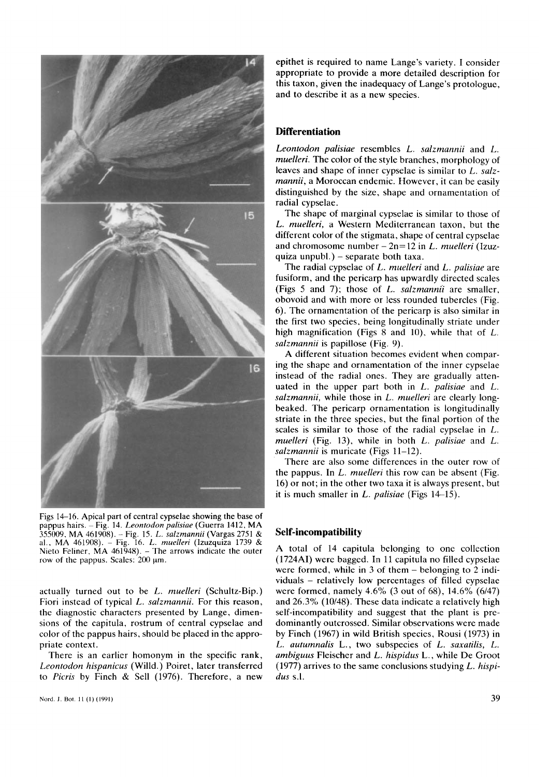

Figs 14-16. Apical part of central cypselae showing the base of pappus hairs. ~ Fig. 14. *Leontodon palisiae* (Guerra 1412, MA pappus naris. – Fig. 14. *Leoniodon palisiae* (Guerra 1412, MA<br>355009, MA 461908). – Fig. 15. *L. salzmannii* (Vargas 2751 &<br>al., MA 461908). – Fig. 16. *L. muelleri* (Izuzquiza 1739 &<br>Nieto Feliner, MA 461948). – The arr

actually turned out to be *L. muelleri* (Schultz-Bip.) Fiori instead of typical *L. salzmannii.* For this reason, the diagnostic characters presented by Lange, dimensions of the capitula, rostrum of central cypselae and color of the pappus hairs, should be placed in the appropriate context.

There is an earlier homonym in the specific rank, *Leontodon hispanicus* (Willd.) Poiret, later transferred to *Picris* by Finch & Sell (1976). Therefore, a new

epithet is required to name Lange's variety. **I** consider appropriate to provide a more detailed description for this taxon, given the inadequacy of Lange's protologue, and to describe it as a new species.

# **Differentiation**

*Leontodon palisiae* resembles *L. salzmannii* and *L. muelleri.* The color of the style branches, morphology of leaves and shape of inner cypselae is similar to *L. salzmannii,* a Moroccan endemic. However, it can be easily distinguished by the size, shape and ornamentation of radial cypselae.

The shape of marginal cypselae is similar to those of *L. muelleri,* a Western Mediterranean taxon, but the different color of the stigmata, shape of central cypselae and chromosome number - 2n=12 in *L. muelleri* (Izuzquiza unpubl.)  $-$  separate both taxa.

The radial cypselae of *L. muelleri* and *L. palisiae* are fusiform, and the pericarp has upwardly directed scales (Figs *5* and 7); those of *L. salzmannii* are smaller, obovoid and with more or less rounded tubercles (Fig. 6). The ornamentation of the pericarp is also similar in the first two species, being longitudinally striate under high magnification (Figs 8 and 10), while that of *L*. *salzmannii* is papillose (Fig. 9).

**A** different situation becomes evident when comparing the shape and ornamentation of the inner cypselae instead of the radial ones. They are gradually attenuated in the upper part both in *L. palisiae* and *L. salzrnannii,* while those in *L. muelleri* are clearly longbeaked. The pericarp ornamentation is longitudinally striate in the three species, but the final portion of the scales is similar to those of the radial cypselae in *L. muelleri* (Fig. 13), while in both *L. palisiae* and *L. salzmannii* is muricate (Figs 11-12).

There are also some differences in the outer row of the pappus. In *L. muelleri* this row can be absent (Fig. 16) or not; in the other two taxa it is always present, but it is much smaller in *L. palisiae* (Figs 14-15).

#### **Self-incompatibility**

A total of 14 capitula belonging to one collection (1724AI) were bagged. **In** 11 capitula no filled cypselae were formed, while in  $3$  of them  $-$  belonging to  $2$  individuals - relatively low percentages of filled cypselae were formed, namely 4.6% (3 out of 68), 14.6% (6/47) and 26.3% (10/48). These data indicate a relatively high self-incompatibility and suggest that the plant is predominantly outcrossed. Similar observations were made by Finch (1967) in wild British species, Rousi (1973) in *L. autumnalis* L., two subspecies of *L. saxatilis, L. ambiguus* Fleischer and *L. hispidus* L., while De Groot (1977) arrives to the same conclusions studying *L. hispidus* **s.1.**